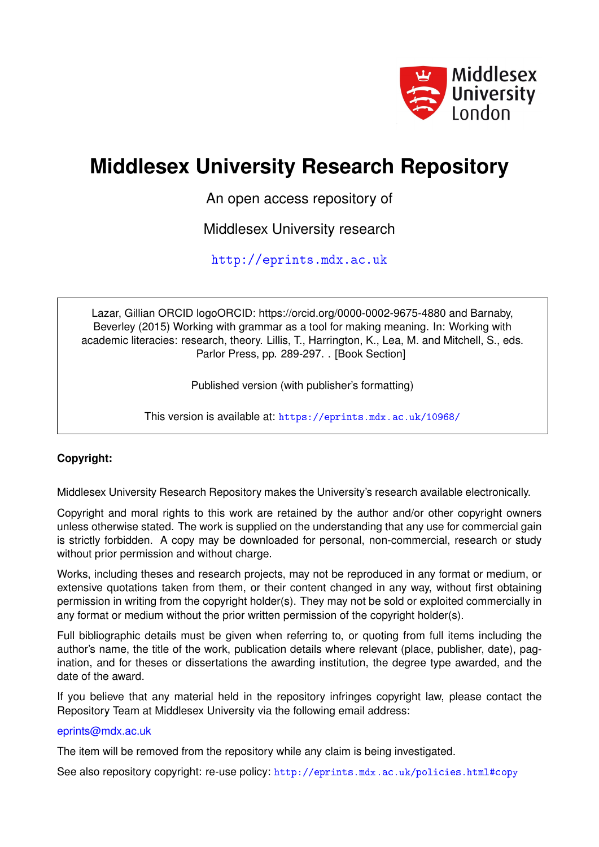

# **Middlesex University Research Repository**

An open access repository of

Middlesex University research

<http://eprints.mdx.ac.uk>

Lazar, Gillian ORCID logoORCID: https://orcid.org/0000-0002-9675-4880 and Barnaby, Beverley (2015) Working with grammar as a tool for making meaning. In: Working with academic literacies: research, theory. Lillis, T., Harrington, K., Lea, M. and Mitchell, S., eds. Parlor Press, pp. 289-297. . [Book Section]

Published version (with publisher's formatting)

This version is available at: <https://eprints.mdx.ac.uk/10968/>

## **Copyright:**

Middlesex University Research Repository makes the University's research available electronically.

Copyright and moral rights to this work are retained by the author and/or other copyright owners unless otherwise stated. The work is supplied on the understanding that any use for commercial gain is strictly forbidden. A copy may be downloaded for personal, non-commercial, research or study without prior permission and without charge.

Works, including theses and research projects, may not be reproduced in any format or medium, or extensive quotations taken from them, or their content changed in any way, without first obtaining permission in writing from the copyright holder(s). They may not be sold or exploited commercially in any format or medium without the prior written permission of the copyright holder(s).

Full bibliographic details must be given when referring to, or quoting from full items including the author's name, the title of the work, publication details where relevant (place, publisher, date), pagination, and for theses or dissertations the awarding institution, the degree type awarded, and the date of the award.

If you believe that any material held in the repository infringes copyright law, please contact the Repository Team at Middlesex University via the following email address:

#### [eprints@mdx.ac.uk](mailto:eprints@mdx.ac.uk)

The item will be removed from the repository while any claim is being investigated.

See also repository copyright: re-use policy: <http://eprints.mdx.ac.uk/policies.html#copy>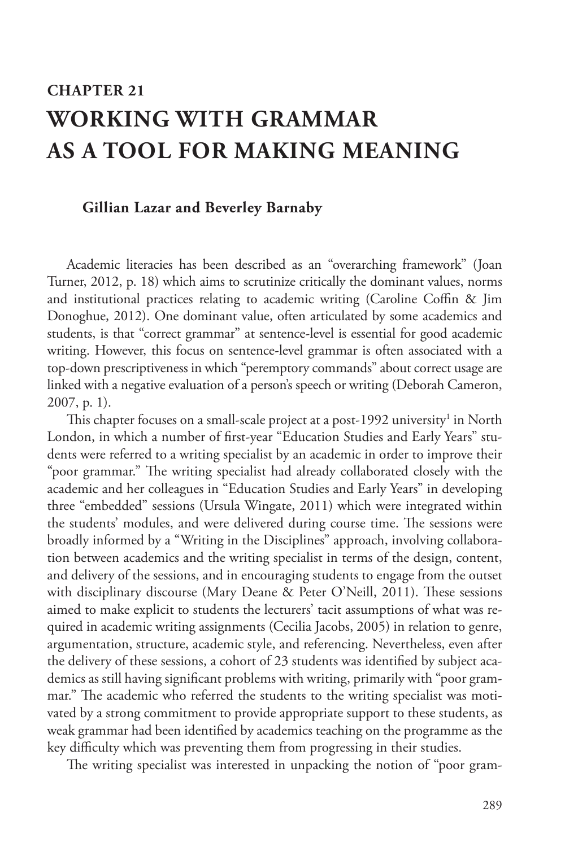## **CHAPTER 21 WORKING WITH GRAMMAR AS A TOOL FOR MAKING MEANING**

#### **Gillian Lazar and Beverley Barnaby**

Academic literacies has been described as an "overarching framework" (Joan Turner, 2012, p. 18) which aims to scrutinize critically the dominant values, norms and institutional practices relating to academic writing (Caroline Coffin & Jim Donoghue, 2012). One dominant value, often articulated by some academics and students, is that "correct grammar" at sentence-level is essential for good academic writing. However, this focus on sentence-level grammar is often associated with a top-down prescriptiveness in which "peremptory commands" about correct usage are linked with a negative evaluation of a person's speech or writing (Deborah Cameron, 2007, p. 1).

This chapter focuses on a small-scale project at a post-1992 university $^{\rm 1}$  in North London, in which a number of first-year "Education Studies and Early Years" students were referred to a writing specialist by an academic in order to improve their "poor grammar." The writing specialist had already collaborated closely with the academic and her colleagues in "Education Studies and Early Years" in developing three "embedded" sessions (Ursula Wingate, 2011) which were integrated within the students' modules, and were delivered during course time. The sessions were broadly informed by a "Writing in the Disciplines" approach, involving collaboration between academics and the writing specialist in terms of the design, content, and delivery of the sessions, and in encouraging students to engage from the outset with disciplinary discourse (Mary Deane & Peter O'Neill, 2011). These sessions aimed to make explicit to students the lecturers' tacit assumptions of what was required in academic writing assignments (Cecilia Jacobs, 2005) in relation to genre, argumentation, structure, academic style, and referencing. Nevertheless, even after the delivery of these sessions, a cohort of 23 students was identified by subject academics as still having significant problems with writing, primarily with "poor grammar." The academic who referred the students to the writing specialist was motivated by a strong commitment to provide appropriate support to these students, as weak grammar had been identified by academics teaching on the programme as the key difficulty which was preventing them from progressing in their studies.

The writing specialist was interested in unpacking the notion of "poor gram-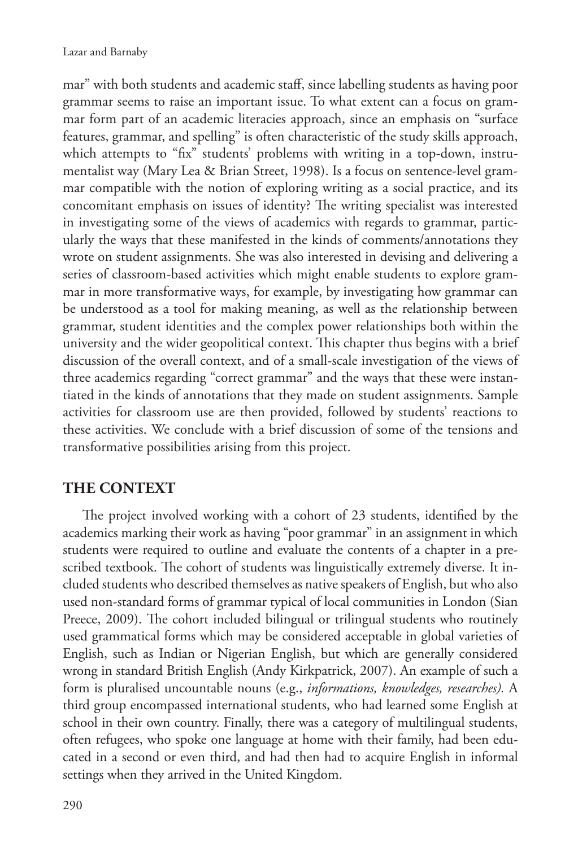mar" with both students and academic staff, since labelling students as having poor grammar seems to raise an important issue. To what extent can a focus on grammar form part of an academic literacies approach, since an emphasis on "surface features, grammar, and spelling" is often characteristic of the study skills approach, which attempts to "fix" students' problems with writing in a top-down, instrumentalist way (Mary Lea & Brian Street, 1998). Is a focus on sentence-level grammar compatible with the notion of exploring writing as a social practice, and its concomitant emphasis on issues of identity? The writing specialist was interested in investigating some of the views of academics with regards to grammar, particularly the ways that these manifested in the kinds of comments/annotations they wrote on student assignments. She was also interested in devising and delivering a series of classroom-based activities which might enable students to explore grammar in more transformative ways, for example, by investigating how grammar can be understood as a tool for making meaning, as well as the relationship between grammar, student identities and the complex power relationships both within the university and the wider geopolitical context. This chapter thus begins with a brief discussion of the overall context, and of a small-scale investigation of the views of three academics regarding "correct grammar" and the ways that these were instantiated in the kinds of annotations that they made on student assignments. Sample activities for classroom use are then provided, followed by students' reactions to these activities. We conclude with a brief discussion of some of the tensions and transformative possibilities arising from this project.

#### **THE CONTEXT**

The project involved working with a cohort of 23 students, identified by the academics marking their work as having "poor grammar" in an assignment in which students were required to outline and evaluate the contents of a chapter in a prescribed textbook. The cohort of students was linguistically extremely diverse. It included students who described themselves as native speakers of English, but who also used non-standard forms of grammar typical of local communities in London (Sian Preece, 2009). The cohort included bilingual or trilingual students who routinely used grammatical forms which may be considered acceptable in global varieties of English, such as Indian or Nigerian English, but which are generally considered wrong in standard British English (Andy Kirkpatrick, 2007). An example of such a form is pluralised uncountable nouns (e.g., *informations, knowledges, researches).* A third group encompassed international students, who had learned some English at school in their own country. Finally, there was a category of multilingual students, often refugees, who spoke one language at home with their family, had been educated in a second or even third, and had then had to acquire English in informal settings when they arrived in the United Kingdom.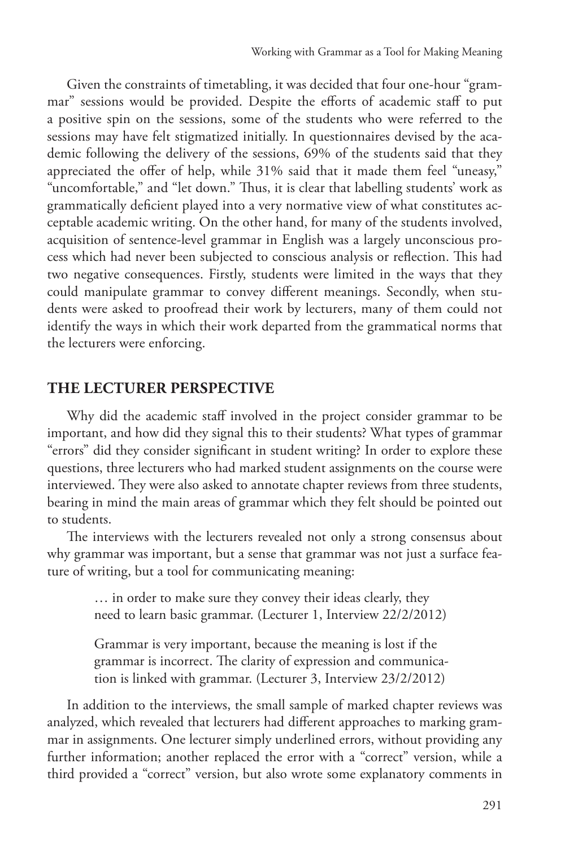Given the constraints of timetabling, it was decided that four one-hour "grammar" sessions would be provided. Despite the efforts of academic staff to put a positive spin on the sessions, some of the students who were referred to the sessions may have felt stigmatized initially. In questionnaires devised by the academic following the delivery of the sessions, 69% of the students said that they appreciated the offer of help, while 31% said that it made them feel "uneasy," "uncomfortable," and "let down." Thus, it is clear that labelling students' work as grammatically deficient played into a very normative view of what constitutes acceptable academic writing. On the other hand, for many of the students involved, acquisition of sentence-level grammar in English was a largely unconscious process which had never been subjected to conscious analysis or reflection. This had two negative consequences. Firstly, students were limited in the ways that they could manipulate grammar to convey different meanings. Secondly, when students were asked to proofread their work by lecturers, many of them could not identify the ways in which their work departed from the grammatical norms that the lecturers were enforcing.

#### **THE LECTURER PERSPECTIVE**

Why did the academic staff involved in the project consider grammar to be important, and how did they signal this to their students? What types of grammar "errors" did they consider significant in student writing? In order to explore these questions, three lecturers who had marked student assignments on the course were interviewed. They were also asked to annotate chapter reviews from three students, bearing in mind the main areas of grammar which they felt should be pointed out to students.

The interviews with the lecturers revealed not only a strong consensus about why grammar was important, but a sense that grammar was not just a surface feature of writing, but a tool for communicating meaning:

> … in order to make sure they convey their ideas clearly, they need to learn basic grammar. (Lecturer 1, Interview 22/2/2012)

> Grammar is very important, because the meaning is lost if the grammar is incorrect. The clarity of expression and communication is linked with grammar. (Lecturer 3, Interview 23/2/2012)

In addition to the interviews, the small sample of marked chapter reviews was analyzed, which revealed that lecturers had different approaches to marking grammar in assignments. One lecturer simply underlined errors, without providing any further information; another replaced the error with a "correct" version, while a third provided a "correct" version, but also wrote some explanatory comments in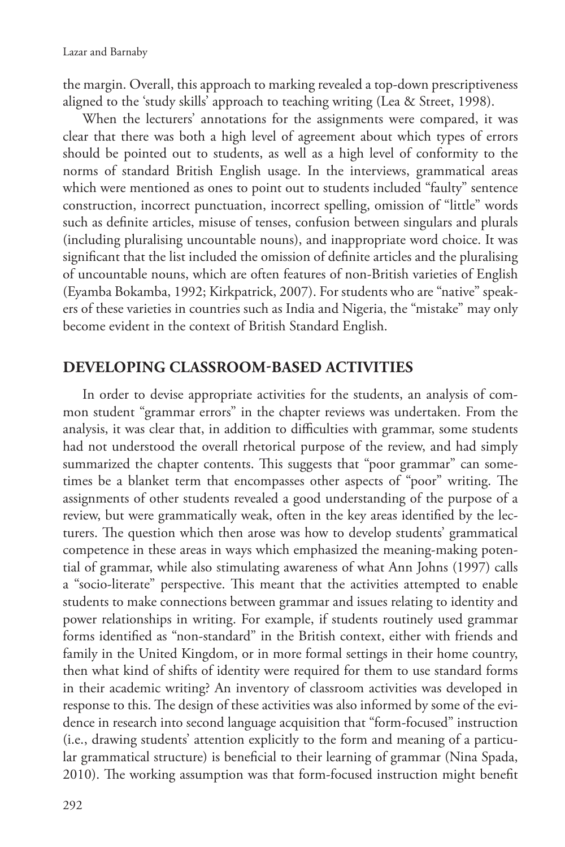the margin. Overall, this approach to marking revealed a top-down prescriptiveness aligned to the 'study skills' approach to teaching writing (Lea & Street, 1998).

When the lecturers' annotations for the assignments were compared, it was clear that there was both a high level of agreement about which types of errors should be pointed out to students, as well as a high level of conformity to the norms of standard British English usage. In the interviews, grammatical areas which were mentioned as ones to point out to students included "faulty" sentence construction, incorrect punctuation, incorrect spelling, omission of "little" words such as definite articles, misuse of tenses, confusion between singulars and plurals (including pluralising uncountable nouns), and inappropriate word choice. It was significant that the list included the omission of definite articles and the pluralising of uncountable nouns, which are often features of non-British varieties of English (Eyamba Bokamba, 1992; Kirkpatrick, 2007). For students who are "native" speakers of these varieties in countries such as India and Nigeria, the "mistake" may only become evident in the context of British Standard English.

#### **DEVELOPING CLASSROOM-BASED ACTIVITIES**

In order to devise appropriate activities for the students, an analysis of common student "grammar errors" in the chapter reviews was undertaken. From the analysis, it was clear that, in addition to difficulties with grammar, some students had not understood the overall rhetorical purpose of the review, and had simply summarized the chapter contents. This suggests that "poor grammar" can sometimes be a blanket term that encompasses other aspects of "poor" writing. The assignments of other students revealed a good understanding of the purpose of a review, but were grammatically weak, often in the key areas identified by the lecturers. The question which then arose was how to develop students' grammatical competence in these areas in ways which emphasized the meaning-making potential of grammar, while also stimulating awareness of what Ann Johns (1997) calls a "socio-literate" perspective. This meant that the activities attempted to enable students to make connections between grammar and issues relating to identity and power relationships in writing. For example, if students routinely used grammar forms identified as "non-standard" in the British context, either with friends and family in the United Kingdom, or in more formal settings in their home country, then what kind of shifts of identity were required for them to use standard forms in their academic writing? An inventory of classroom activities was developed in response to this. The design of these activities was also informed by some of the evidence in research into second language acquisition that "form-focused" instruction (i.e., drawing students' attention explicitly to the form and meaning of a particular grammatical structure) is beneficial to their learning of grammar (Nina Spada, 2010). The working assumption was that form-focused instruction might benefit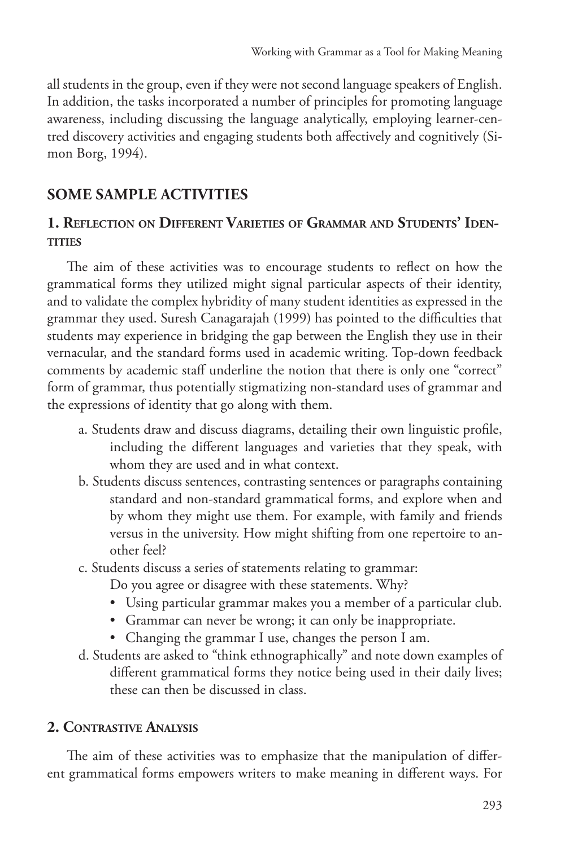all students in the group, even if they were not second language speakers of English. In addition, the tasks incorporated a number of principles for promoting language awareness, including discussing the language analytically, employing learner-centred discovery activities and engaging students both affectively and cognitively (Simon Borg, 1994).

## **SOME SAMPLE ACTIVITIES**

### **1. Reflection on Different Varieties of Grammar and Students' Identities**

The aim of these activities was to encourage students to reflect on how the grammatical forms they utilized might signal particular aspects of their identity, and to validate the complex hybridity of many student identities as expressed in the grammar they used. Suresh Canagarajah (1999) has pointed to the difficulties that students may experience in bridging the gap between the English they use in their vernacular, and the standard forms used in academic writing. Top-down feedback comments by academic staff underline the notion that there is only one "correct" form of grammar, thus potentially stigmatizing non-standard uses of grammar and the expressions of identity that go along with them.

- a. Students draw and discuss diagrams, detailing their own linguistic profile, including the different languages and varieties that they speak, with whom they are used and in what context.
- b. Students discuss sentences, contrasting sentences or paragraphs containing standard and non-standard grammatical forms, and explore when and by whom they might use them. For example, with family and friends versus in the university. How might shifting from one repertoire to another feel?
- c. Students discuss a series of statements relating to grammar:

Do you agree or disagree with these statements. Why?

- Using particular grammar makes you a member of a particular club.
- Grammar can never be wrong; it can only be inappropriate.
- Changing the grammar I use, changes the person I am.
- d. Students are asked to "think ethnographically" and note down examples of different grammatical forms they notice being used in their daily lives; these can then be discussed in class.

#### **2. Contrastive Analysis**

The aim of these activities was to emphasize that the manipulation of different grammatical forms empowers writers to make meaning in different ways. For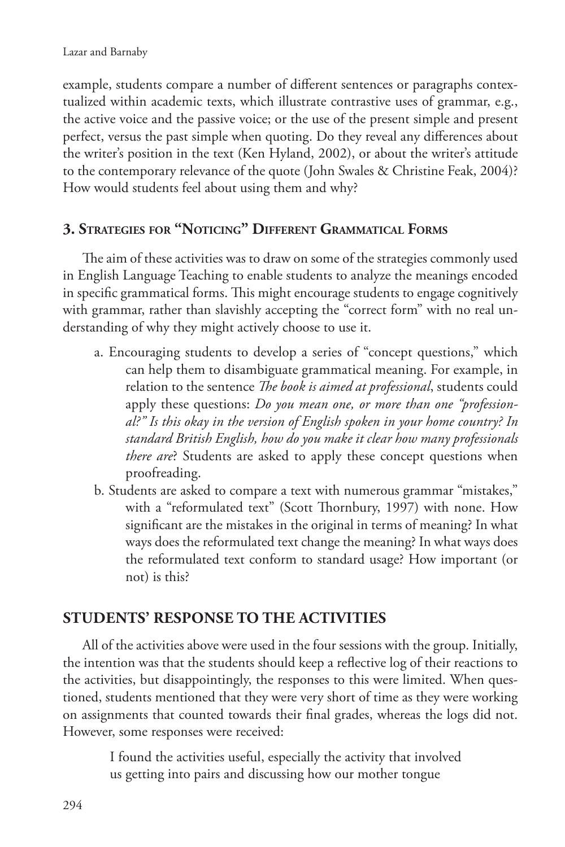example, students compare a number of different sentences or paragraphs contextualized within academic texts, which illustrate contrastive uses of grammar, e.g., the active voice and the passive voice; or the use of the present simple and present perfect, versus the past simple when quoting. Do they reveal any differences about the writer's position in the text (Ken Hyland, 2002), or about the writer's attitude to the contemporary relevance of the quote (John Swales & Christine Feak, 2004)? How would students feel about using them and why?

#### **3. Strategies for "Noticing" Different Grammatical Forms**

The aim of these activities was to draw on some of the strategies commonly used in English Language Teaching to enable students to analyze the meanings encoded in specific grammatical forms. This might encourage students to engage cognitively with grammar, rather than slavishly accepting the "correct form" with no real understanding of why they might actively choose to use it.

- a. Encouraging students to develop a series of "concept questions," which can help them to disambiguate grammatical meaning. For example, in relation to the sentence *The book is aimed at professional*, students could apply these questions: *Do you mean one, or more than one "professional?" Is this okay in the version of English spoken in your home country? In standard British English, how do you make it clear how many professionals there are*? Students are asked to apply these concept questions when proofreading.
- b. Students are asked to compare a text with numerous grammar "mistakes," with a "reformulated text" (Scott Thornbury, 1997) with none. How significant are the mistakes in the original in terms of meaning? In what ways does the reformulated text change the meaning? In what ways does the reformulated text conform to standard usage? How important (or not) is this?

#### **STUDENTS' RESPONSE TO THE ACTIVITIES**

All of the activities above were used in the four sessions with the group. Initially, the intention was that the students should keep a reflective log of their reactions to the activities, but disappointingly, the responses to this were limited. When questioned, students mentioned that they were very short of time as they were working on assignments that counted towards their final grades, whereas the logs did not. However, some responses were received:

> I found the activities useful, especially the activity that involved us getting into pairs and discussing how our mother tongue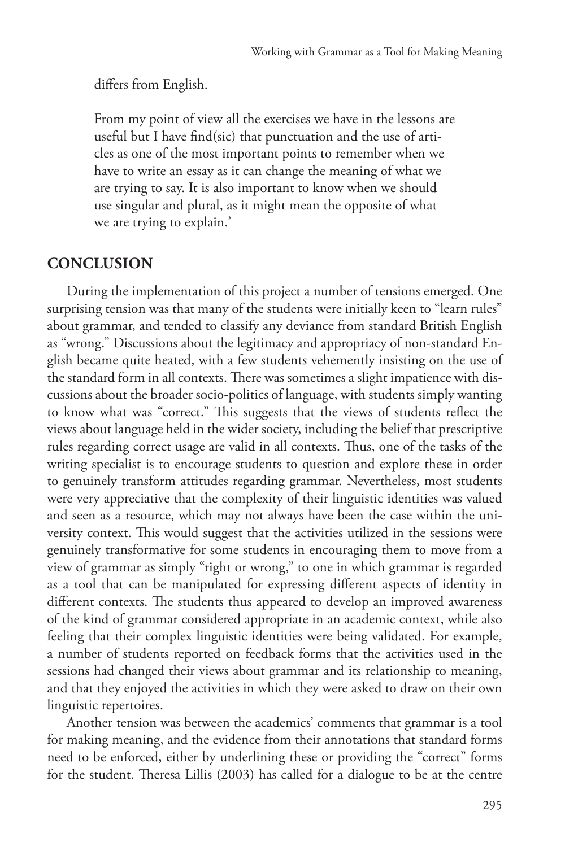differs from English.

From my point of view all the exercises we have in the lessons are useful but I have find(sic) that punctuation and the use of articles as one of the most important points to remember when we have to write an essay as it can change the meaning of what we are trying to say. It is also important to know when we should use singular and plural, as it might mean the opposite of what we are trying to explain.'

#### **CONCLUSION**

During the implementation of this project a number of tensions emerged. One surprising tension was that many of the students were initially keen to "learn rules" about grammar, and tended to classify any deviance from standard British English as "wrong." Discussions about the legitimacy and appropriacy of non-standard English became quite heated, with a few students vehemently insisting on the use of the standard form in all contexts. There was sometimes a slight impatience with discussions about the broader socio-politics of language, with students simply wanting to know what was "correct." This suggests that the views of students reflect the views about language held in the wider society, including the belief that prescriptive rules regarding correct usage are valid in all contexts. Thus, one of the tasks of the writing specialist is to encourage students to question and explore these in order to genuinely transform attitudes regarding grammar. Nevertheless, most students were very appreciative that the complexity of their linguistic identities was valued and seen as a resource, which may not always have been the case within the university context. This would suggest that the activities utilized in the sessions were genuinely transformative for some students in encouraging them to move from a view of grammar as simply "right or wrong," to one in which grammar is regarded as a tool that can be manipulated for expressing different aspects of identity in different contexts. The students thus appeared to develop an improved awareness of the kind of grammar considered appropriate in an academic context, while also feeling that their complex linguistic identities were being validated. For example, a number of students reported on feedback forms that the activities used in the sessions had changed their views about grammar and its relationship to meaning, and that they enjoyed the activities in which they were asked to draw on their own linguistic repertoires.

Another tension was between the academics' comments that grammar is a tool for making meaning, and the evidence from their annotations that standard forms need to be enforced, either by underlining these or providing the "correct" forms for the student. Theresa Lillis (2003) has called for a dialogue to be at the centre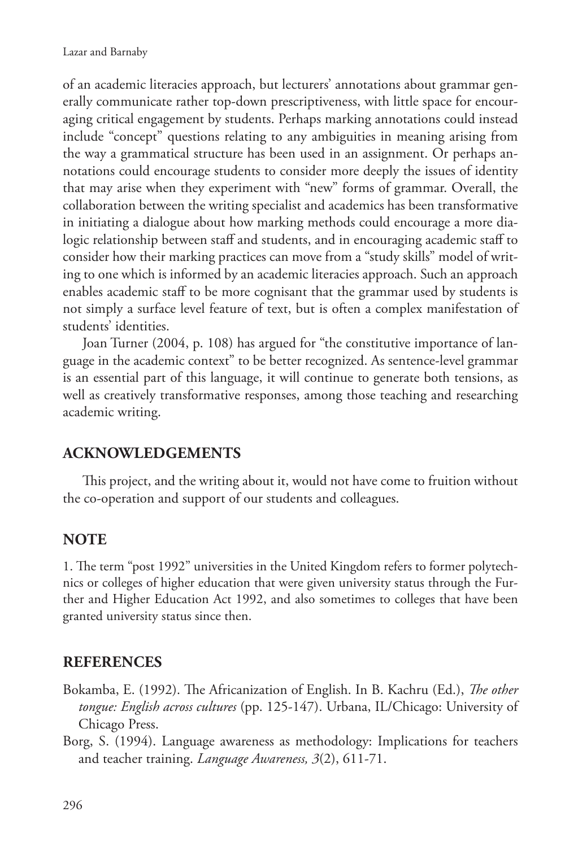of an academic literacies approach, but lecturers' annotations about grammar generally communicate rather top-down prescriptiveness, with little space for encouraging critical engagement by students. Perhaps marking annotations could instead include "concept" questions relating to any ambiguities in meaning arising from the way a grammatical structure has been used in an assignment. Or perhaps annotations could encourage students to consider more deeply the issues of identity that may arise when they experiment with "new" forms of grammar. Overall, the collaboration between the writing specialist and academics has been transformative in initiating a dialogue about how marking methods could encourage a more dialogic relationship between staff and students, and in encouraging academic staff to consider how their marking practices can move from a "study skills" model of writing to one which is informed by an academic literacies approach. Such an approach enables academic staff to be more cognisant that the grammar used by students is not simply a surface level feature of text, but is often a complex manifestation of students' identities.

Joan Turner (2004, p. 108) has argued for "the constitutive importance of language in the academic context" to be better recognized. As sentence-level grammar is an essential part of this language, it will continue to generate both tensions, as well as creatively transformative responses, among those teaching and researching academic writing.

#### **ACKNOWLEDGEMENTS**

This project, and the writing about it, would not have come to fruition without the co-operation and support of our students and colleagues.

#### **NOTE**

1. The term "post 1992" universities in the United Kingdom refers to former polytechnics or colleges of higher education that were given university status through the Further and Higher Education Act 1992, and also sometimes to colleges that have been granted university status since then.

#### **REFERENCES**

- Bokamba, E. (1992). The Africanization of English. In B. Kachru (Ed.), *The other tongue: English across cultures* (pp. 125-147). Urbana, IL/Chicago: University of Chicago Press.
- Borg, S. (1994). Language awareness as methodology: Implications for teachers and teacher training. *Language Awareness, 3*(2), 611-71.